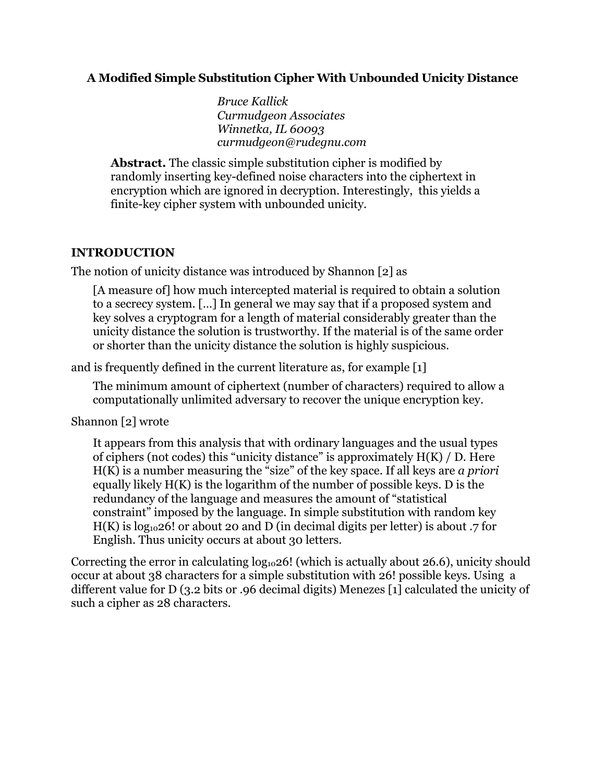#### **A Modified Simple Substitution Cipher With Unbounded Unicity Distance**

*Bruce Kallick Curmudgeon Associates Winnetka, IL 60093 curmudgeon@rudegnu.com* 

**Abstract.** The classic simple substitution cipher is modified by randomly inserting key-defined noise characters into the ciphertext in encryption which are ignored in decryption. Interestingly, this yields a finite-key cipher system with unbounded unicity.

#### **INTRODUCTION**

The notion of unicity distance was introduced by Shannon [2] as

[A measure of] how much intercepted material is required to obtain a solution to a secrecy system. […] In general we may say that if a proposed system and key solves a cryptogram for a length of material considerably greater than the unicity distance the solution is trustworthy. If the material is of the same order or shorter than the unicity distance the solution is highly suspicious.

and is frequently defined in the current literature as, for example [1]

The minimum amount of ciphertext (number of characters) required to allow a computationally unlimited adversary to recover the unique encryption key.

Shannon [2] wrote

It appears from this analysis that with ordinary languages and the usual types of ciphers (not codes) this "unicity distance" is approximately H(K) / D. Here H(K) is a number measuring the "size" of the key space. If all keys are *a priori* equally likely  $H(K)$  is the logarithm of the number of possible keys. D is the redundancy of the language and measures the amount of "statistical constraint" imposed by the language. In simple substitution with random key H(K) is  $log_{10}26!$  or about 20 and D (in decimal digits per letter) is about .7 for English. Thus unicity occurs at about 30 letters.

Correcting the error in calculating  $log_{10}26$ ! (which is actually about 26.6), unicity should occur at about 38 characters for a simple substitution with 26! possible keys. Using a different value for D (3.2 bits or .96 decimal digits) Menezes [1] calculated the unicity of such a cipher as 28 characters.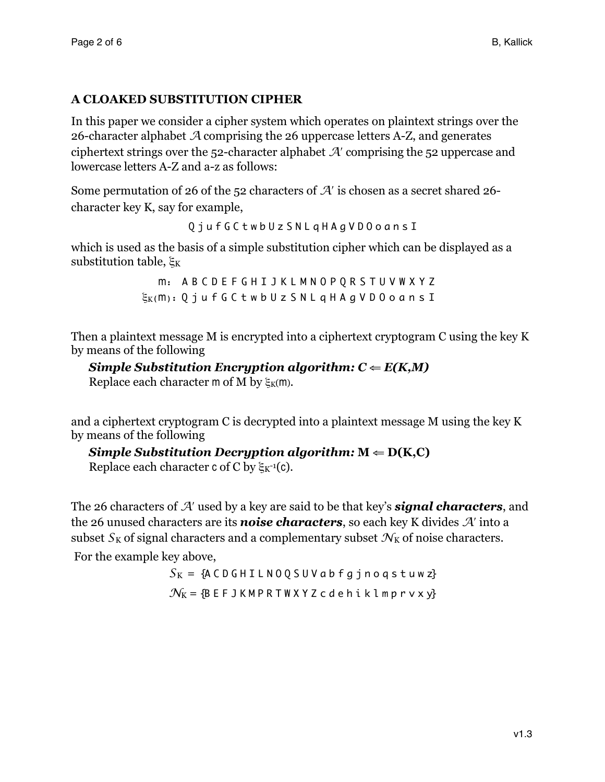## **A CLOAKED SUBSTITUTION CIPHER**

In this paper we consider a cipher system which operates on plaintext strings over the 26-character alphabet *A* comprising the 26 uppercase letters A-Z, and generates ciphertext strings over the 52-character alphabet *A*ʹ comprising the 52 uppercase and lowercase letters A-Z and a-z as follows:

Some permutation of 26 of the 52 characters of *A*ʹ is chosen as a secret shared 26 character key K, say for example,

```
Q j u f G C t w b U z S N L q H A g V D O o a n s I
```
which is used as the basis of a simple substitution cipher which can be displayed as a substitution table,  $\xi_K$ 

> m: A B C D E F G H I J K L M N O P Q R S T U V W X Y Z  $\xi_{\rm K}$ (m): Q j u f G C t w b U z S N L q H A g V D 0 o a n s I

Then a plaintext message M is encrypted into a ciphertext cryptogram C using the key K by means of the following

*Simple Substitution Encryption algorithm:*  $C \leftarrow E(K, M)$ 

Replace each character m of M by  $\xi_K(m)$ .

and a ciphertext cryptogram C is decrypted into a plaintext message M using the key K by means of the following

## *Simple Substitution Decryption algorithm:*  $M \leftarrow D(K, C)$

Replace each character c of C by  $\xi_{K^{-1}}(c)$ .

The 26 characters of *A*ʹ used by a key are said to be that key's *signal characters*, and the 26 unused characters are its *noise characters*, so each key K divides *A*ʹ into a subset  $S_K$  of signal characters and a complementary subset  $\mathcal{N}_K$  of noise characters.

For the example key above,

 $S_K = \{A \cap B + I \cup B \cap Q \leq U \vee B + g \}$  no q s t u w z}  $N_K = {B \t E \t F \t J \t K \t M \t P \t R \t T \t W \t X \t Y \t Z \t C \t d \t e \t h \t i \t k \t l \t m \t p \t r \t v \t x \t y}$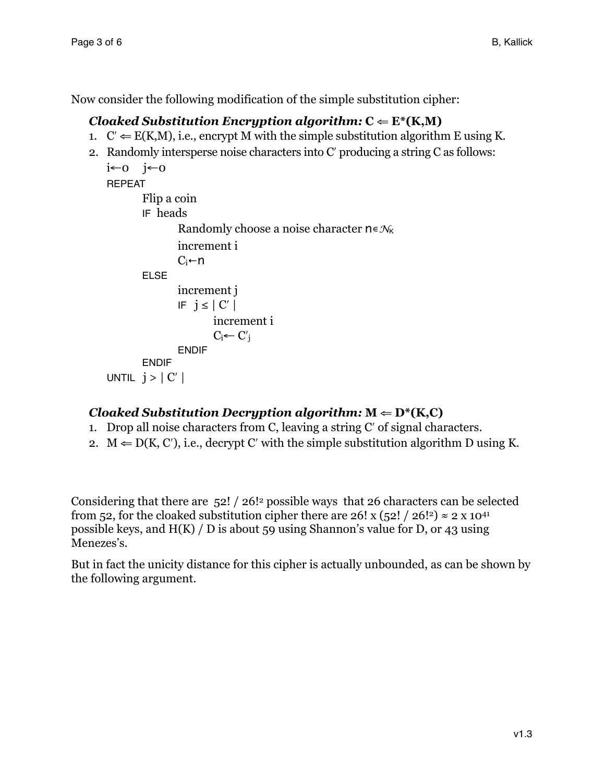Now consider the following modification of the simple substitution cipher:

# *Cloaked Substitution Encryption algorithm:*  $C \leftarrow E^*(K, M)$

- 1.  $C' \leftarrow E(K,M)$ , i.e., encrypt M with the simple substitution algorithm E using K.
- 2. Randomly intersperse noise characters into Cʹ producing a string C as follows: i←0 j←0 REPEAT Flip a coin IF heads Randomly choose a noise character n∊*N*<sup>K</sup> increment i  $C_i$ ←n ELSE

```
increment j
IF j \leq |C'| increment i 
        C_i \leftarrow C'_iENDIF
```

```
ENDIF
UNTIL j > |C'|
```
# *Cloaked Substitution Decryption algorithm:*  $M \leftarrow D^*(K, C)$

- 1. Drop all noise characters from C, leaving a string Cʹ of signal characters.
- 2.  $M \leftarrow D(K, C')$ , i.e., decrypt C' with the simple substitution algorithm D using K.

Considering that there are 52! / 26! possible ways that 26 characters can be selected from 52, for the cloaked substitution cipher there are 26! x (52! / 26!<sup>2</sup>)  $\approx$  2 x 10<sup>41</sup> possible keys, and H(K) / D is about 59 using Shannon's value for D, or 43 using Menezes's.

But in fact the unicity distance for this cipher is actually unbounded, as can be shown by the following argument.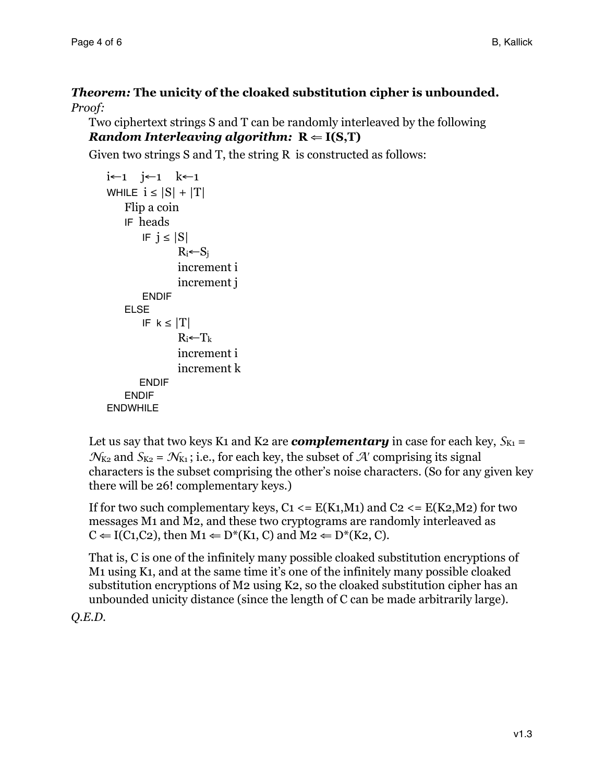## *Theorem:* **The unicity of the cloaked substitution cipher is unbounded.** *Proof:*

Two ciphertext strings S and T can be randomly interleaved by the following *Random Interleaving algorithm:*  $R \leftarrow I(S,T)$ 

Given two strings S and T, the string R is constructed as follows:

```
i←1 j←1 k←1 
WHILE i \leq |S| + |T|Flip a coin 
    IF heads 
       IF j \leq |S|R_i \leftarrow S_iincrement i
               increment j 
       ENDIF
    ELSE
       IF k \leq |T|R_i \leftarrow T_k increment i 
                increment k 
       ENDIF
   ENDIF
ENDWHILE
```
Let us say that two keys K1 and K2 are *complementary* in case for each key,  $S_{K1} =$  $N_{K_2}$  and  $S_{K_2} = N_{K_1}$ ; i.e., for each key, the subset of *A*<sup>'</sup> comprising its signal characters is the subset comprising the other's noise characters. (So for any given key there will be 26! complementary keys.)

If for two such complementary keys,  $C_1 \le E(K_1,M_1)$  and  $C_2 \le E(K_2,M_2)$  for two messages M1 and M2, and these two cryptograms are randomly interleaved as  $C \leftarrow I(C_1, C_2)$ , then  $M_1 \leftarrow D^*(K_1, C)$  and  $M_2 \leftarrow D^*(K_2, C)$ .

That is, C is one of the infinitely many possible cloaked substitution encryptions of M1 using K1, and at the same time it's one of the infinitely many possible cloaked substitution encryptions of M2 using K2, so the cloaked substitution cipher has an unbounded unicity distance (since the length of C can be made arbitrarily large).

*Q.E.D.*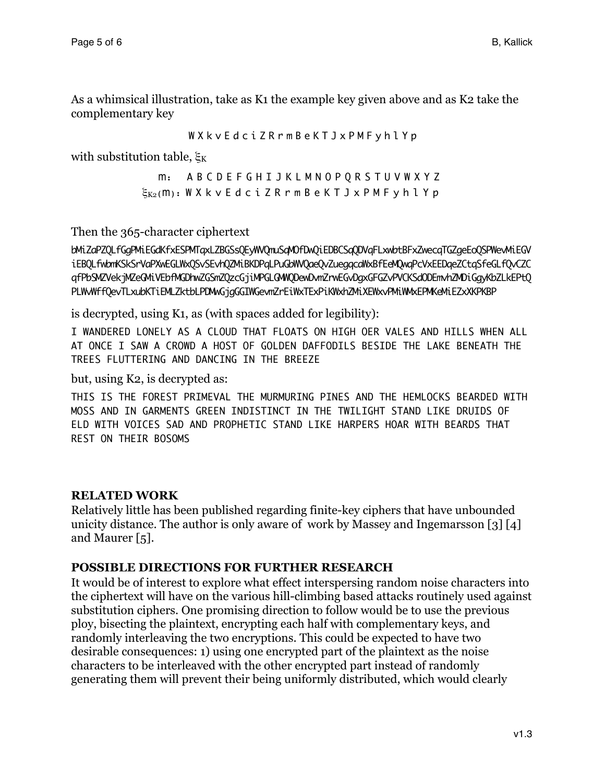As a whimsical illustration, take as K1 the example key given above and as K2 take the complementary key

W X k v E d c i Z R r m B e K T J x P M F y h l Y p

with substitution table,  $\xi_K$ 

 m: A B C D E F G H I J K L M N O P Q R S T U V W X Y Z  $\xi_{K_2}(m)$ : W X k v E d c i Z R r m B e K T J x P M F y h l Y p

Then the 365-character ciphertext

bMiZaPZQLfGgPMiEGdKfxESPMTqxLZBGSsQEyWVQmuSqMOfDwQiEDBCSqQDVqFLxwbtBFxZwecqTGZgeEoQSPWevMiEGV iEBQLfwbmKSkSrVaPXwEGLWxQSvSEvhQZMiBKDPqLPuGbWVQaeQvZuegqcaWxBfEeMQwqPcVxEEDqeZCtqSfeGLfQvCZC qfPbSMZVekjMZeGMiVEbfMGDhwZGSmZQzcGjiMPGLGMWQDewDvmZrwEGvDgxGFGZvPVCKSdODEmvhZMDiGgyKbZLkEPtQ PLWwWffQevTLxubKTiEMLZktbLPDMwGjgGGIWGevmZrEiWxTExPiKWxhZMiXEWxvPMiWWxEPMKeMiEZxXKPKBP

is decrypted, using K1, as (with spaces added for legibility):

I WANDERED LONELY AS A CLOUD THAT FLOATS ON HIGH OER VALES AND HILLS WHEN ALL AT ONCE I SAW A CROWD A HOST OF GOLDEN DAFFODILS BESIDE THE LAKE BENEATH THE TREES FLUTTERING AND DANCING IN THE BREEZE

but, using K2, is decrypted as:

THIS IS THE FOREST PRIMEVAL THE MURMURING PINES AND THE HEMLOCKS BEARDED WITH MOSS AND IN GARMENTS GREEN INDISTINCT IN THE TWILIGHT STAND LIKE DRUIDS OF ELD WITH VOICES SAD AND PROPHETIC STAND LIKE HARPERS HOAR WITH BEARDS THAT REST ON THEIR BOSOMS

### **RELATED WORK**

Relatively little has been published regarding finite-key ciphers that have unbounded unicity distance. The author is only aware of work by Massey and Ingemarsson [3] [4] and Maurer [5].

#### **POSSIBLE DIRECTIONS FOR FURTHER RESEARCH**

It would be of interest to explore what effect interspersing random noise characters into the ciphertext will have on the various hill-climbing based attacks routinely used against substitution ciphers. One promising direction to follow would be to use the previous ploy, bisecting the plaintext, encrypting each half with complementary keys, and randomly interleaving the two encryptions. This could be expected to have two desirable consequences: 1) using one encrypted part of the plaintext as the noise characters to be interleaved with the other encrypted part instead of randomly generating them will prevent their being uniformly distributed, which would clearly